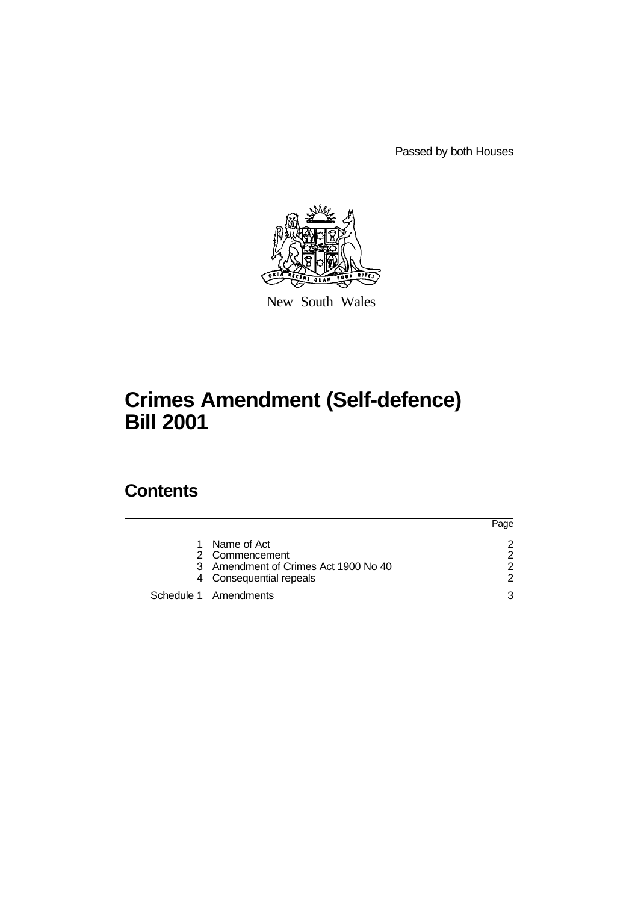Passed by both Houses



New South Wales

# **Crimes Amendment (Self-defence) Bill 2001**

## **Contents**

|                                      | Page          |
|--------------------------------------|---------------|
| 1 Name of Act                        | 2             |
| 2 Commencement                       | 2             |
| 3 Amendment of Crimes Act 1900 No 40 | $\mathcal{P}$ |
| 4 Consequential repeals              | 2             |
| Schedule 1 Amendments                | ર             |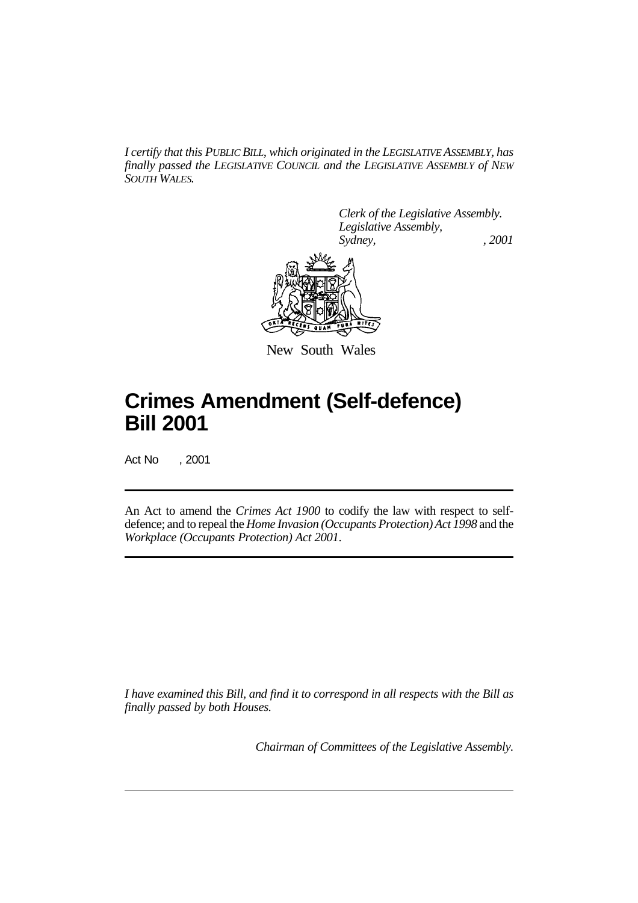*I certify that this PUBLIC BILL, which originated in the LEGISLATIVE ASSEMBLY, has finally passed the LEGISLATIVE COUNCIL and the LEGISLATIVE ASSEMBLY of NEW SOUTH WALES.*

> *Clerk of the Legislative Assembly. Legislative Assembly, Sydney, , 2001*



New South Wales

## **Crimes Amendment (Self-defence) Bill 2001**

Act No , 2001

An Act to amend the *Crimes Act 1900* to codify the law with respect to selfdefence; and to repeal the *Home Invasion (Occupants Protection) Act 1998* and the *Workplace (Occupants Protection) Act 2001*.

*I have examined this Bill, and find it to correspond in all respects with the Bill as finally passed by both Houses.*

*Chairman of Committees of the Legislative Assembly.*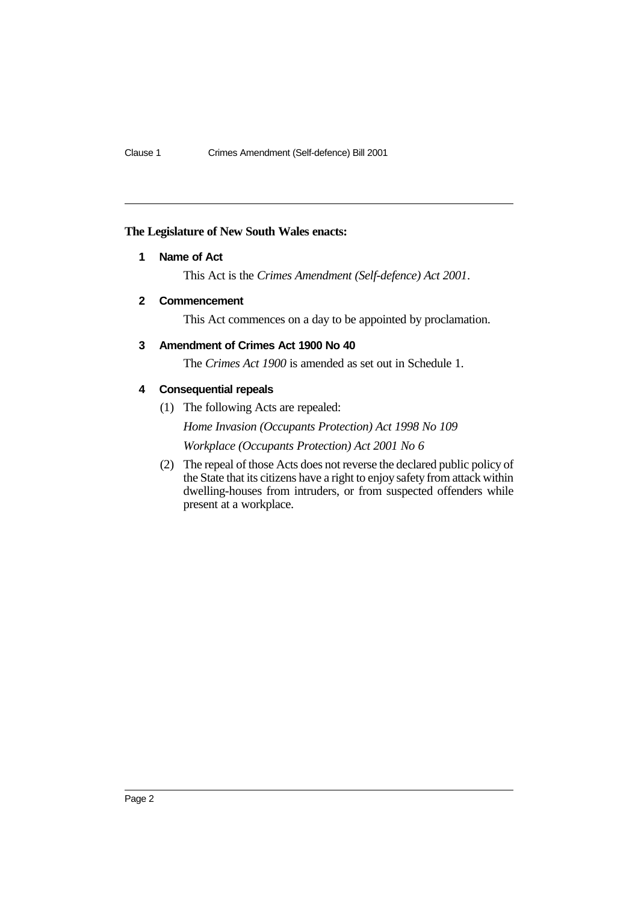## **The Legislature of New South Wales enacts:**

## **1 Name of Act**

This Act is the *Crimes Amendment (Self-defence) Act 2001*.

## **2 Commencement**

This Act commences on a day to be appointed by proclamation.

## **3 Amendment of Crimes Act 1900 No 40**

The *Crimes Act 1900* is amended as set out in Schedule 1.

## **4 Consequential repeals**

(1) The following Acts are repealed:

*Home Invasion (Occupants Protection) Act 1998 No 109 Workplace (Occupants Protection) Act 2001 No 6*

(2) The repeal of those Acts does not reverse the declared public policy of the State that its citizens have a right to enjoy safety from attack within dwelling-houses from intruders, or from suspected offenders while present at a workplace.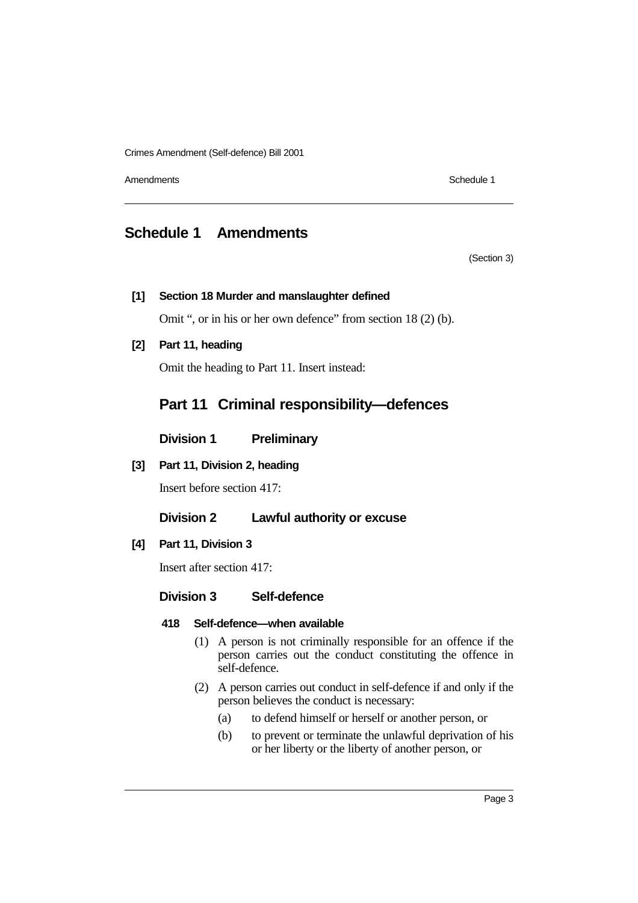Crimes Amendment (Self-defence) Bill 2001

Amendments **Schedule 1** and the set of the set of the set of the set of the set of the set of the set of the set of the set of the set of the set of the set of the set of the set of the set of the set of the set of the set

## **Schedule 1 Amendments**

(Section 3)

## **[1] Section 18 Murder and manslaughter defined**

Omit ", or in his or her own defence" from section 18 (2) (b).

**[2] Part 11, heading**

Omit the heading to Part 11. Insert instead:

## **Part 11 Criminal responsibility—defences**

**Division 1 Preliminary**

## **[3] Part 11, Division 2, heading**

Insert before section 417:

## **Division 2 Lawful authority or excuse**

## **[4] Part 11, Division 3**

Insert after section 417:

## **Division 3 Self-defence**

### **418 Self-defence—when available**

- (1) A person is not criminally responsible for an offence if the person carries out the conduct constituting the offence in self-defence.
- (2) A person carries out conduct in self-defence if and only if the person believes the conduct is necessary:
	- (a) to defend himself or herself or another person, or
	- (b) to prevent or terminate the unlawful deprivation of his or her liberty or the liberty of another person, or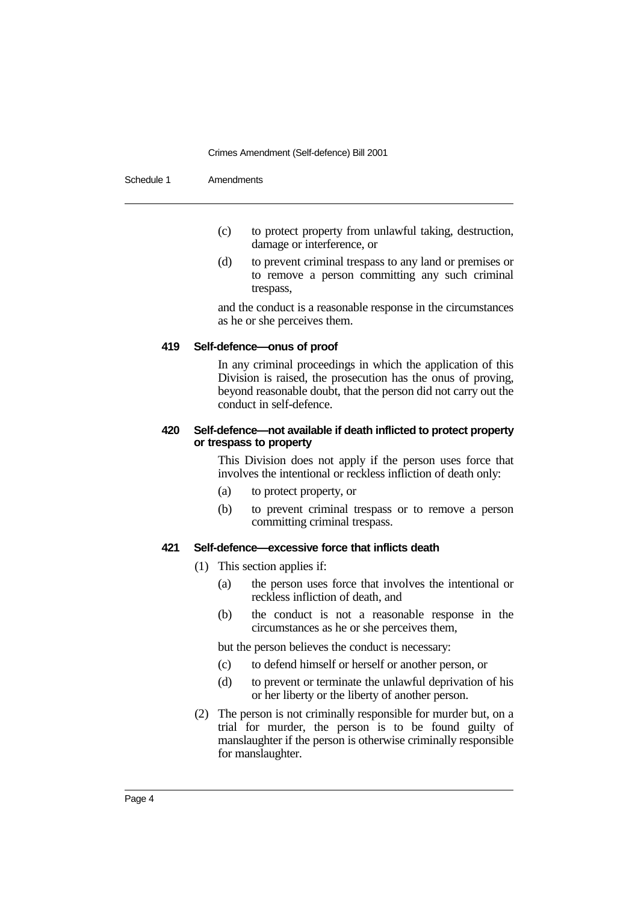#### Crimes Amendment (Self-defence) Bill 2001

| Schedule 1 | Amendments |
|------------|------------|
|------------|------------|

- (c) to protect property from unlawful taking, destruction, damage or interference, or
- (d) to prevent criminal trespass to any land or premises or to remove a person committing any such criminal trespass,

and the conduct is a reasonable response in the circumstances as he or she perceives them.

## **419 Self-defence—onus of proof**

In any criminal proceedings in which the application of this Division is raised, the prosecution has the onus of proving, beyond reasonable doubt, that the person did not carry out the conduct in self-defence.

## **420 Self-defence—not available if death inflicted to protect property or trespass to property**

This Division does not apply if the person uses force that involves the intentional or reckless infliction of death only:

- (a) to protect property, or
- (b) to prevent criminal trespass or to remove a person committing criminal trespass.

### **421 Self-defence—excessive force that inflicts death**

- (1) This section applies if:
	- (a) the person uses force that involves the intentional or reckless infliction of death, and
	- (b) the conduct is not a reasonable response in the circumstances as he or she perceives them,

but the person believes the conduct is necessary:

- (c) to defend himself or herself or another person, or
- (d) to prevent or terminate the unlawful deprivation of his or her liberty or the liberty of another person.
- (2) The person is not criminally responsible for murder but, on a trial for murder, the person is to be found guilty of manslaughter if the person is otherwise criminally responsible for manslaughter.